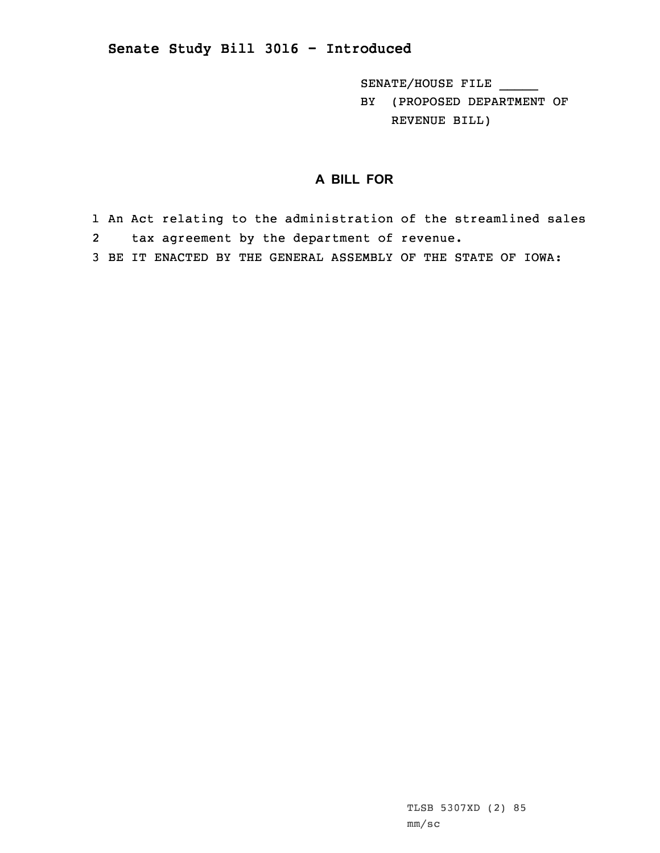## **Senate Study Bill 3016 - Introduced**

SENATE/HOUSE FILE \_\_\_\_\_ BY (PROPOSED DEPARTMENT OF REVENUE BILL)

## **A BILL FOR**

1 An Act relating to the administration of the streamlined sales 2tax agreement by the department of revenue.

3 BE IT ENACTED BY THE GENERAL ASSEMBLY OF THE STATE OF IOWA: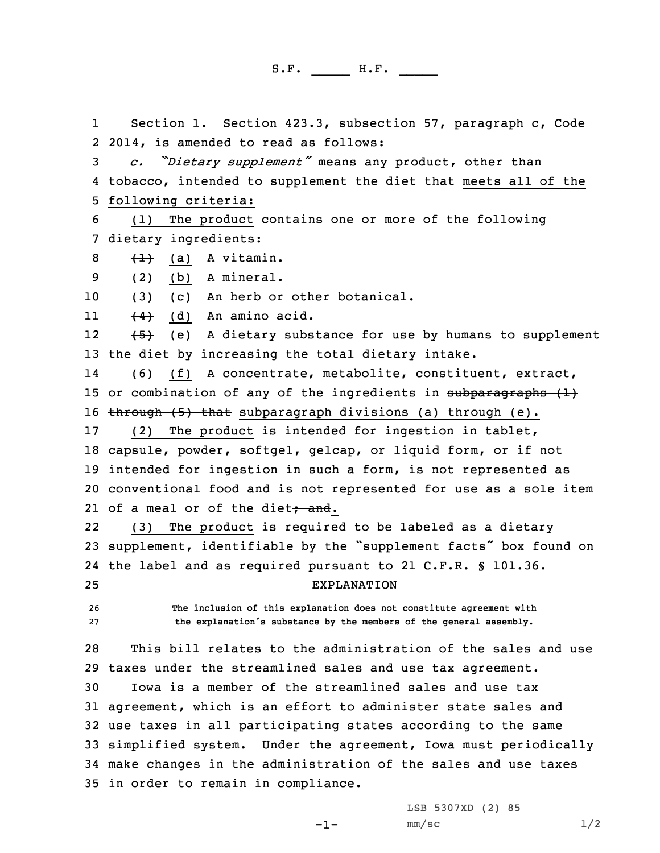S.F. \_\_\_\_\_ H.F. \_\_\_\_

1 Section 1. Section 423.3, subsection 57, paragraph c, Code 2 2014, is amended to read as follows:

<sup>3</sup> *c. "Dietary supplement"* means any product, other than 4 tobacco, intended to supplement the diet that meets all of the 5 following criteria:

6 (1) The product contains one or more of the following 7 dietary ingredients:

 $8 + 1$  (a) A vitamin.

9  $(2)$  (b) A mineral.

10  $(3)$  (c) An herb or other botanical.

11 $\left(\frac{4}{4}\right)$  (d) An amino acid.

12 (5) (e) <sup>A</sup> dietary substance for use by humans to supplement 13 the diet by increasing the total dietary intake.

14 (6) (f) <sup>A</sup> concentrate, metabolite, constituent, extract, 15 or combination of any of the ingredients in subparagraphs  $(1)$ 16 through  $(5)$  that subparagraph divisions (a) through (e).

 (2) The product is intended for ingestion in tablet, capsule, powder, softgel, gelcap, or liquid form, or if not intended for ingestion in such <sup>a</sup> form, is not represented as conventional food and is not represented for use as <sup>a</sup> sole item 21 of a meal or of the diet<del>; and</del>.

22 (3) The product is required to be labeled as <sup>a</sup> dietary <sup>23</sup> supplement, identifiable by the "supplement facts" box found on 24 the label and as required pursuant to 21 C.F.R. § 101.36. 25 EXPLANATION

26 **The inclusion of this explanation does not constitute agreement with** <sup>27</sup> **the explanation's substance by the members of the general assembly.**

28 This bill relates to the administration of the sales and use 29 taxes under the streamlined sales and use tax agreement.

 Iowa is <sup>a</sup> member of the streamlined sales and use tax agreement, which is an effort to administer state sales and use taxes in all participating states according to the same simplified system. Under the agreement, Iowa must periodically make changes in the administration of the sales and use taxes in order to remain in compliance.

 $-1-$ 

LSB 5307XD (2) 85  $mm/sc$  1/2